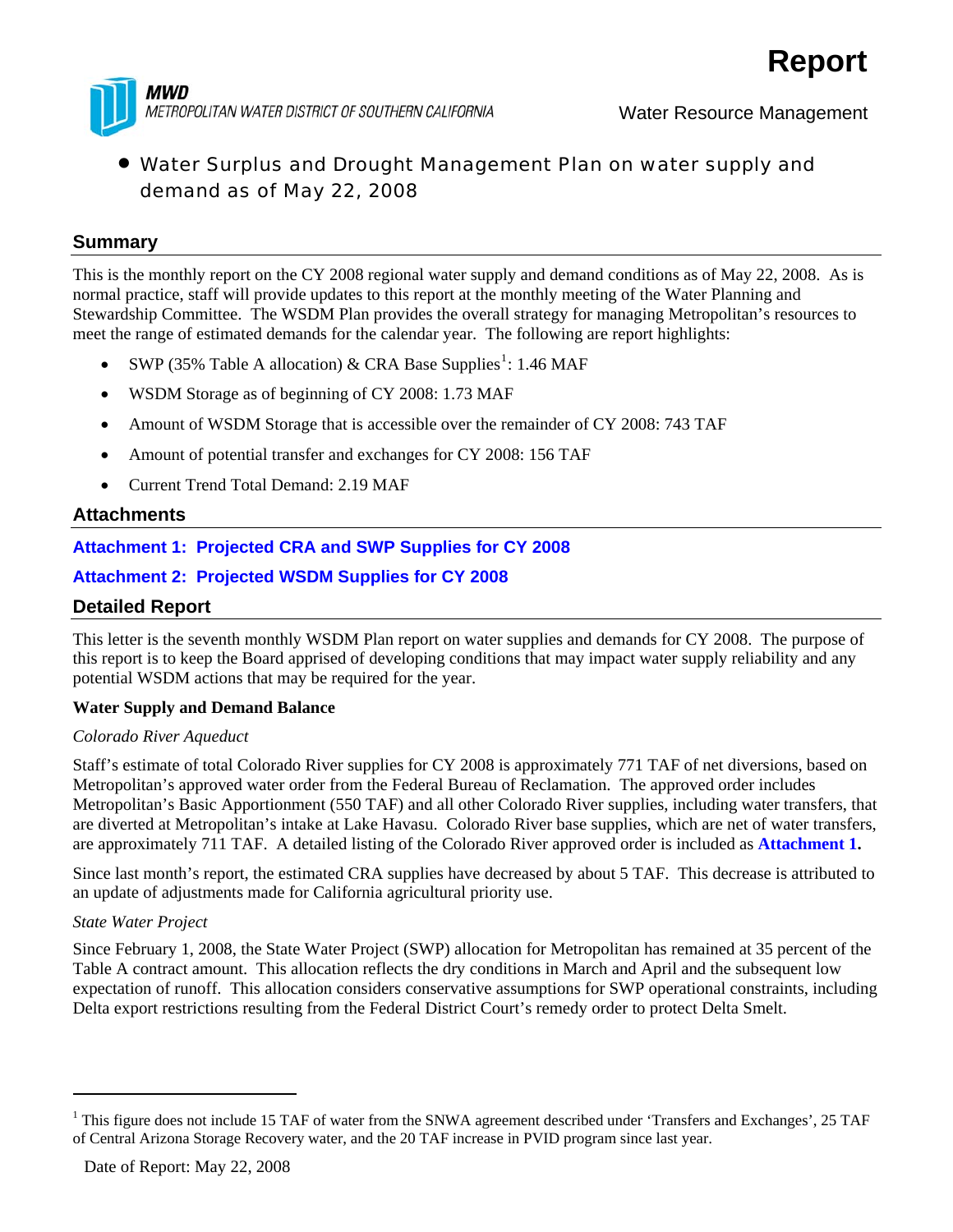

# • Water Surplus and Drought Management Plan on water supply and demand as of May 22, 2008

## **Summary**

This is the monthly report on the CY 2008 regional water supply and demand conditions as of May 22, 2008. As is normal practice, staff will provide updates to this report at the monthly meeting of the Water Planning and Stewardship Committee. The WSDM Plan provides the overall strategy for managing Metropolitan's resources to meet the range of estimated demands for the calendar year. The following are report highlights:

- SWP (35% Table A allocation) & CRA Base Supplies<sup>[1](#page-0-0)</sup>: 1.46 MAF
- WSDM Storage as of beginning of CY 2008: 1.73 MAF
- Amount of WSDM Storage that is accessible over the remainder of CY 2008: 743 TAF
- Amount of potential transfer and exchanges for CY 2008: 156 TAF
- Current Trend Total Demand: 2.19 MAF

## **Attachments**

**Attachment 1: Projected CRA and SWP Supplies for CY 2008** 

## **Attachment 2: Projected WSDM Supplies for CY 2008**

## **Detailed Report**

This letter is the seventh monthly WSDM Plan report on water supplies and demands for CY 2008. The purpose of this report is to keep the Board apprised of developing conditions that may impact water supply reliability and any potential WSDM actions that may be required for the year.

### **Water Supply and Demand Balance**

#### *Colorado River Aqueduct*

Staff's estimate of total Colorado River supplies for CY 2008 is approximately 771 TAF of net diversions, based on Metropolitan's approved water order from the Federal Bureau of Reclamation. The approved order includes Metropolitan's Basic Apportionment (550 TAF) and all other Colorado River supplies, including water transfers, that are diverted at Metropolitan's intake at Lake Havasu. Colorado River base supplies, which are net of water transfers, are approximately 711 TAF. A detailed listing of the Colorado River approved order is included as **Attachment 1.**

Since last month's report, the estimated CRA supplies have decreased by about 5 TAF. This decrease is attributed to an update of adjustments made for California agricultural priority use.

#### *State Water Project*

1

Since February 1, 2008, the State Water Project (SWP) allocation for Metropolitan has remained at 35 percent of the Table A contract amount. This allocation reflects the dry conditions in March and April and the subsequent low expectation of runoff. This allocation considers conservative assumptions for SWP operational constraints, including Delta export restrictions resulting from the Federal District Court's remedy order to protect Delta Smelt.

<span id="page-0-0"></span><sup>&</sup>lt;sup>1</sup> This figure does not include 15 TAF of water from the SNWA agreement described under 'Transfers and Exchanges', 25 TAF of Central Arizona Storage Recovery water, and the 20 TAF increase in PVID program since last year.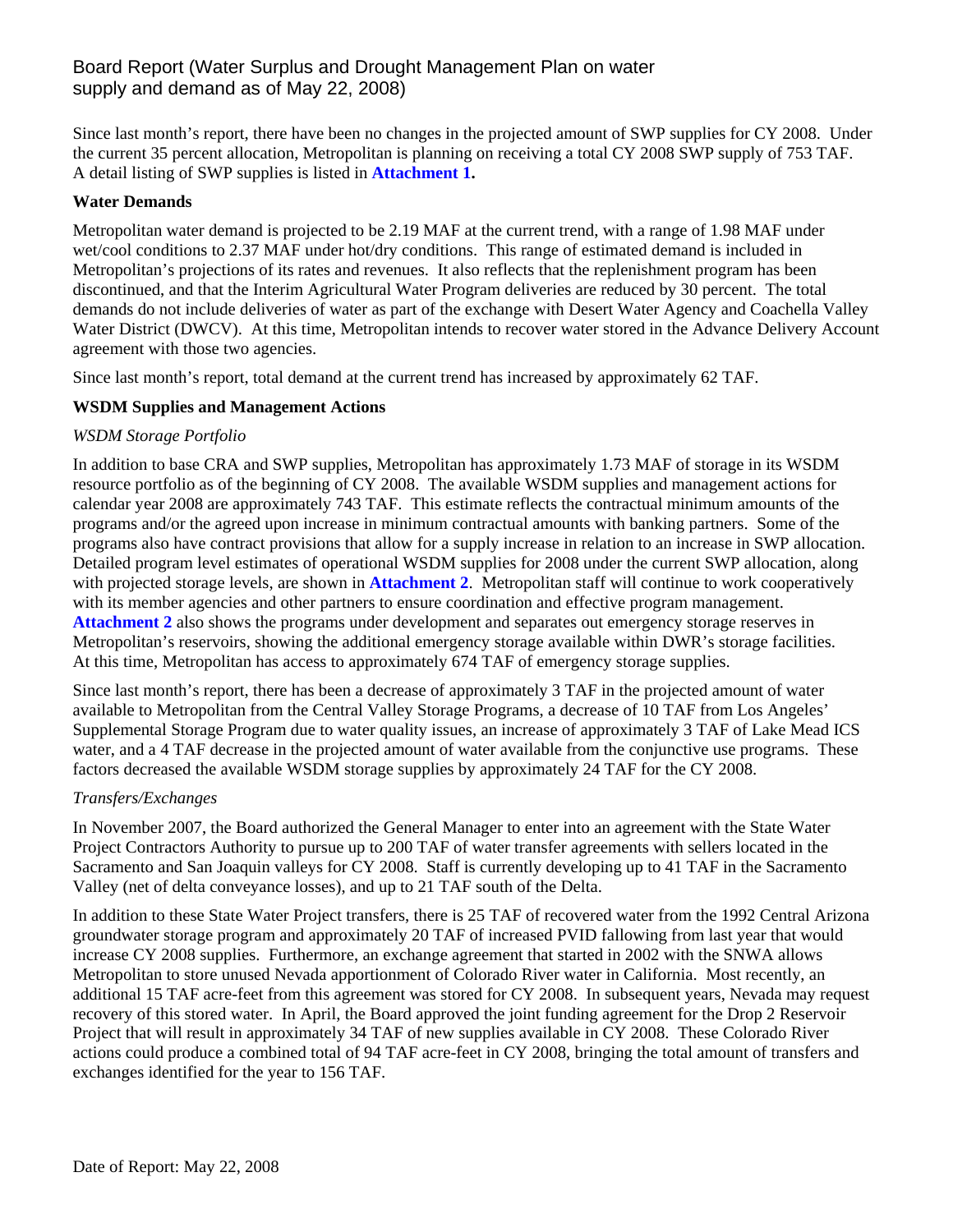# Board Report (Water Surplus and Drought Management Plan on water supply and demand as of May 22, 2008)

Since last month's report, there have been no changes in the projected amount of SWP supplies for CY 2008. Under the current 35 percent allocation, Metropolitan is planning on receiving a total CY 2008 SWP supply of 753 TAF. A detail listing of SWP supplies is listed in **Attachment 1.**

#### **Water Demands**

Metropolitan water demand is projected to be 2.19 MAF at the current trend, with a range of 1.98 MAF under wet/cool conditions to 2.37 MAF under hot/dry conditions. This range of estimated demand is included in Metropolitan's projections of its rates and revenues. It also reflects that the replenishment program has been discontinued, and that the Interim Agricultural Water Program deliveries are reduced by 30 percent. The total demands do not include deliveries of water as part of the exchange with Desert Water Agency and Coachella Valley Water District (DWCV). At this time, Metropolitan intends to recover water stored in the Advance Delivery Account agreement with those two agencies.

Since last month's report, total demand at the current trend has increased by approximately 62 TAF.

#### **WSDM Supplies and Management Actions**

#### *WSDM Storage Portfolio*

In addition to base CRA and SWP supplies, Metropolitan has approximately 1.73 MAF of storage in its WSDM resource portfolio as of the beginning of CY 2008. The available WSDM supplies and management actions for calendar year 2008 are approximately 743 TAF. This estimate reflects the contractual minimum amounts of the programs and/or the agreed upon increase in minimum contractual amounts with banking partners. Some of the programs also have contract provisions that allow for a supply increase in relation to an increase in SWP allocation. Detailed program level estimates of operational WSDM supplies for 2008 under the current SWP allocation, along with projected storage levels, are shown in **Attachment 2**. Metropolitan staff will continue to work cooperatively with its member agencies and other partners to ensure coordination and effective program management. **Attachment 2** also shows the programs under development and separates out emergency storage reserves in Metropolitan's reservoirs, showing the additional emergency storage available within DWR's storage facilities. At this time, Metropolitan has access to approximately 674 TAF of emergency storage supplies.

Since last month's report, there has been a decrease of approximately 3 TAF in the projected amount of water available to Metropolitan from the Central Valley Storage Programs, a decrease of 10 TAF from Los Angeles' Supplemental Storage Program due to water quality issues, an increase of approximately 3 TAF of Lake Mead ICS water, and a 4 TAF decrease in the projected amount of water available from the conjunctive use programs. These factors decreased the available WSDM storage supplies by approximately 24 TAF for the CY 2008.

#### *Transfers/Exchanges*

In November 2007, the Board authorized the General Manager to enter into an agreement with the State Water Project Contractors Authority to pursue up to 200 TAF of water transfer agreements with sellers located in the Sacramento and San Joaquin valleys for CY 2008. Staff is currently developing up to 41 TAF in the Sacramento Valley (net of delta conveyance losses), and up to 21 TAF south of the Delta.

In addition to these State Water Project transfers, there is 25 TAF of recovered water from the 1992 Central Arizona groundwater storage program and approximately 20 TAF of increased PVID fallowing from last year that would increase CY 2008 supplies. Furthermore, an exchange agreement that started in 2002 with the SNWA allows Metropolitan to store unused Nevada apportionment of Colorado River water in California. Most recently, an additional 15 TAF acre-feet from this agreement was stored for CY 2008. In subsequent years, Nevada may request recovery of this stored water. In April, the Board approved the joint funding agreement for the Drop 2 Reservoir Project that will result in approximately 34 TAF of new supplies available in CY 2008. These Colorado River actions could produce a combined total of 94 TAF acre-feet in CY 2008, bringing the total amount of transfers and exchanges identified for the year to 156 TAF.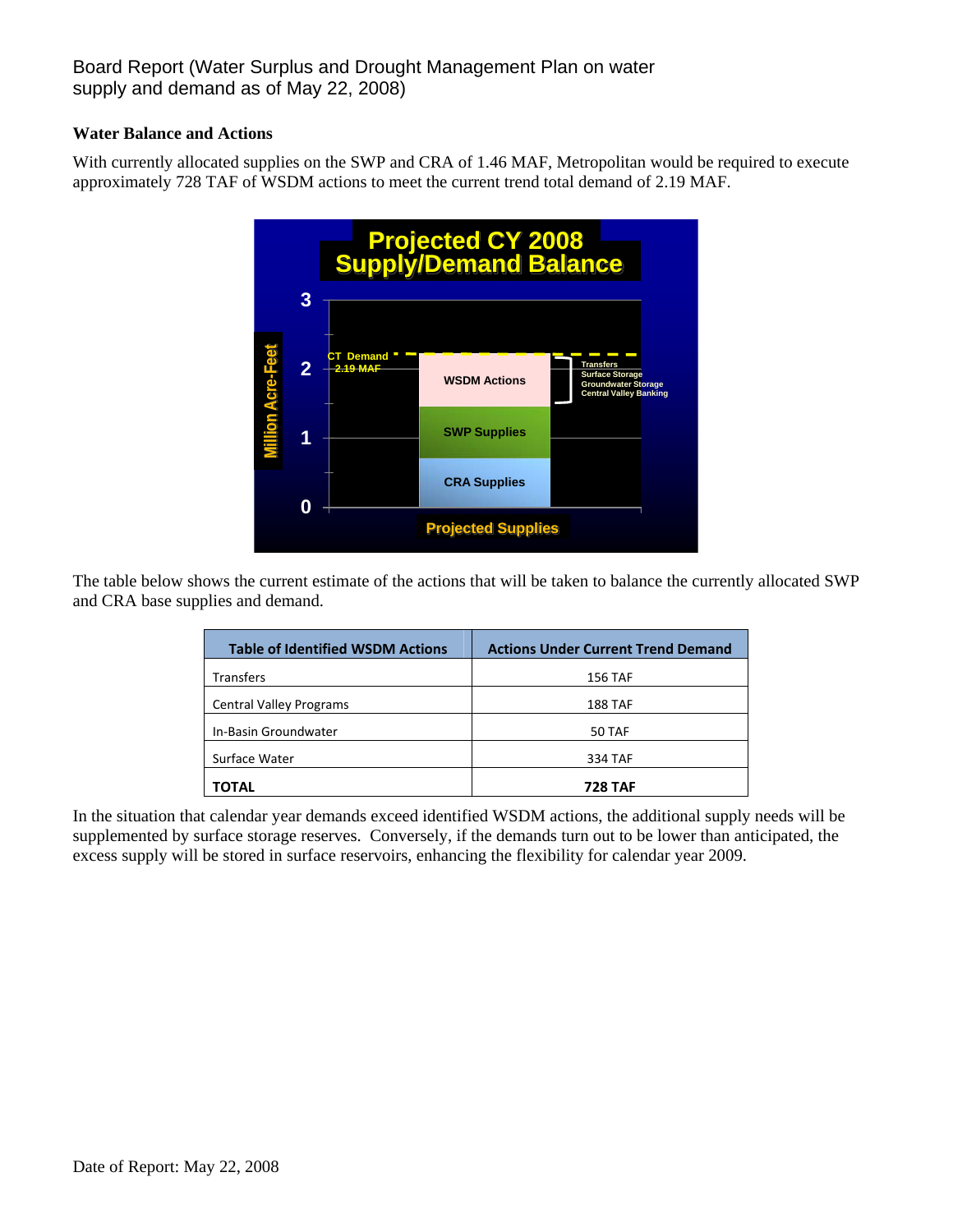# Board Report (Water Surplus and Drought Management Plan on water supply and demand as of May 22, 2008)

#### **Water Balance and Actions**

With currently allocated supplies on the SWP and CRA of 1.46 MAF, Metropolitan would be required to execute approximately 728 TAF of WSDM actions to meet the current trend total demand of 2.19 MAF.



The table below shows the current estimate of the actions that will be taken to balance the currently allocated SWP and CRA base supplies and demand.

| <b>Table of Identified WSDM Actions</b> | <b>Actions Under Current Trend Demand</b> |
|-----------------------------------------|-------------------------------------------|
| <b>Transfers</b>                        | <b>156 TAF</b>                            |
| <b>Central Valley Programs</b>          | <b>188 TAF</b>                            |
| In-Basin Groundwater                    | 50 TAF                                    |
| Surface Water                           | 334 TAF                                   |
| TOTAL                                   | <b>728 TAF</b>                            |

In the situation that calendar year demands exceed identified WSDM actions, the additional supply needs will be supplemented by surface storage reserves. Conversely, if the demands turn out to be lower than anticipated, the excess supply will be stored in surface reservoirs, enhancing the flexibility for calendar year 2009.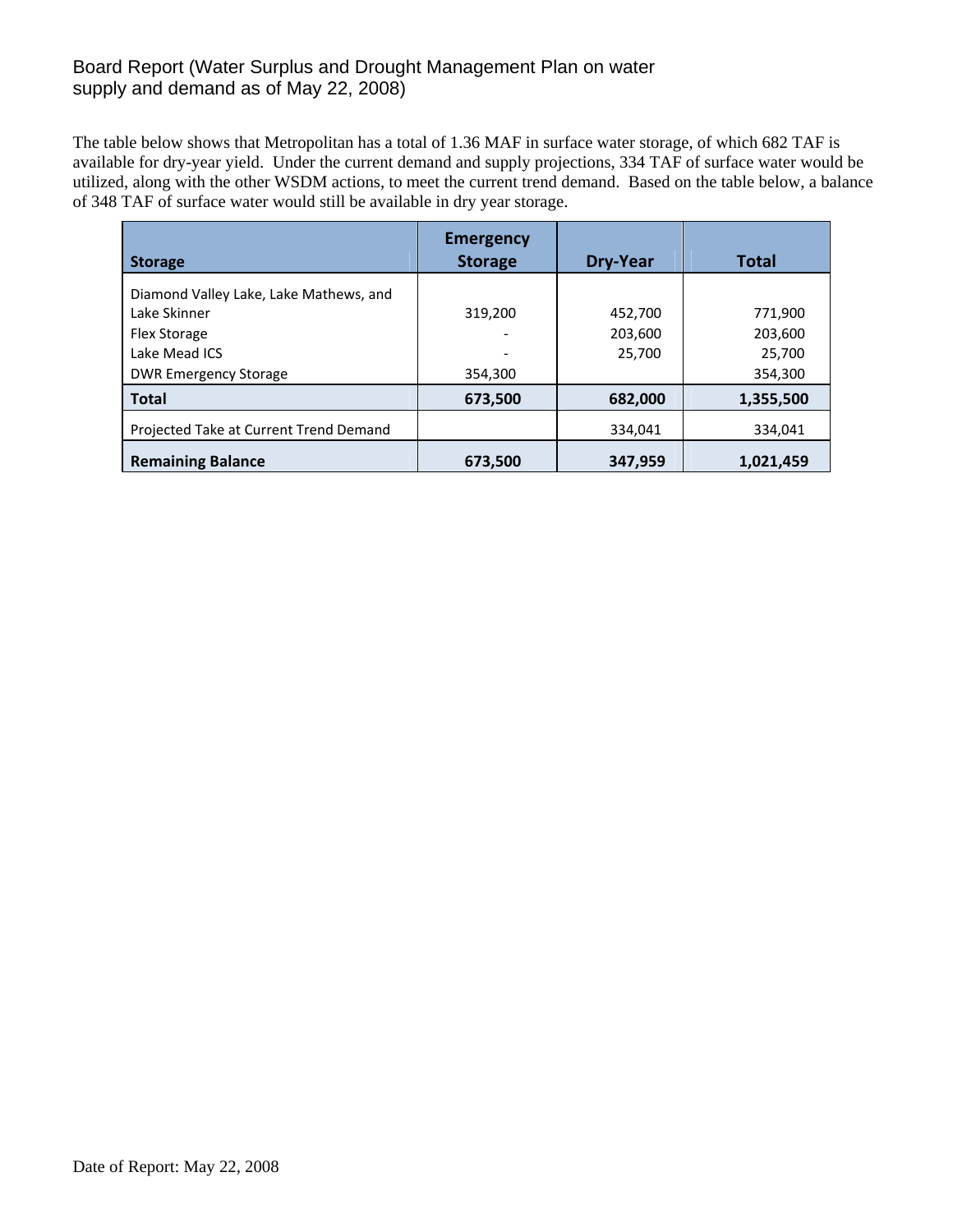# Board Report (Water Surplus and Drought Management Plan on water supply and demand as of May 22, 2008)

The table below shows that Metropolitan has a total of 1.36 MAF in surface water storage, of which 682 TAF is available for dry-year yield. Under the current demand and supply projections, 334 TAF of surface water would be utilized, along with the other WSDM actions, to meet the current trend demand. Based on the table below, a balance of 348 TAF of surface water would still be available in dry year storage.

| <b>Storage</b>                         | <b>Emergency</b><br><b>Storage</b> | Dry-Year | Total     |
|----------------------------------------|------------------------------------|----------|-----------|
| Diamond Valley Lake, Lake Mathews, and |                                    |          |           |
| Lake Skinner                           | 319,200                            | 452,700  | 771,900   |
| <b>Flex Storage</b>                    |                                    | 203,600  | 203.600   |
| Lake Mead ICS                          |                                    | 25,700   | 25,700    |
| <b>DWR Emergency Storage</b>           | 354,300                            |          | 354,300   |
| <b>Total</b>                           | 673,500                            | 682,000  | 1,355,500 |
| Projected Take at Current Trend Demand |                                    | 334,041  | 334,041   |
| <b>Remaining Balance</b>               | 673,500                            | 347,959  | 1,021,459 |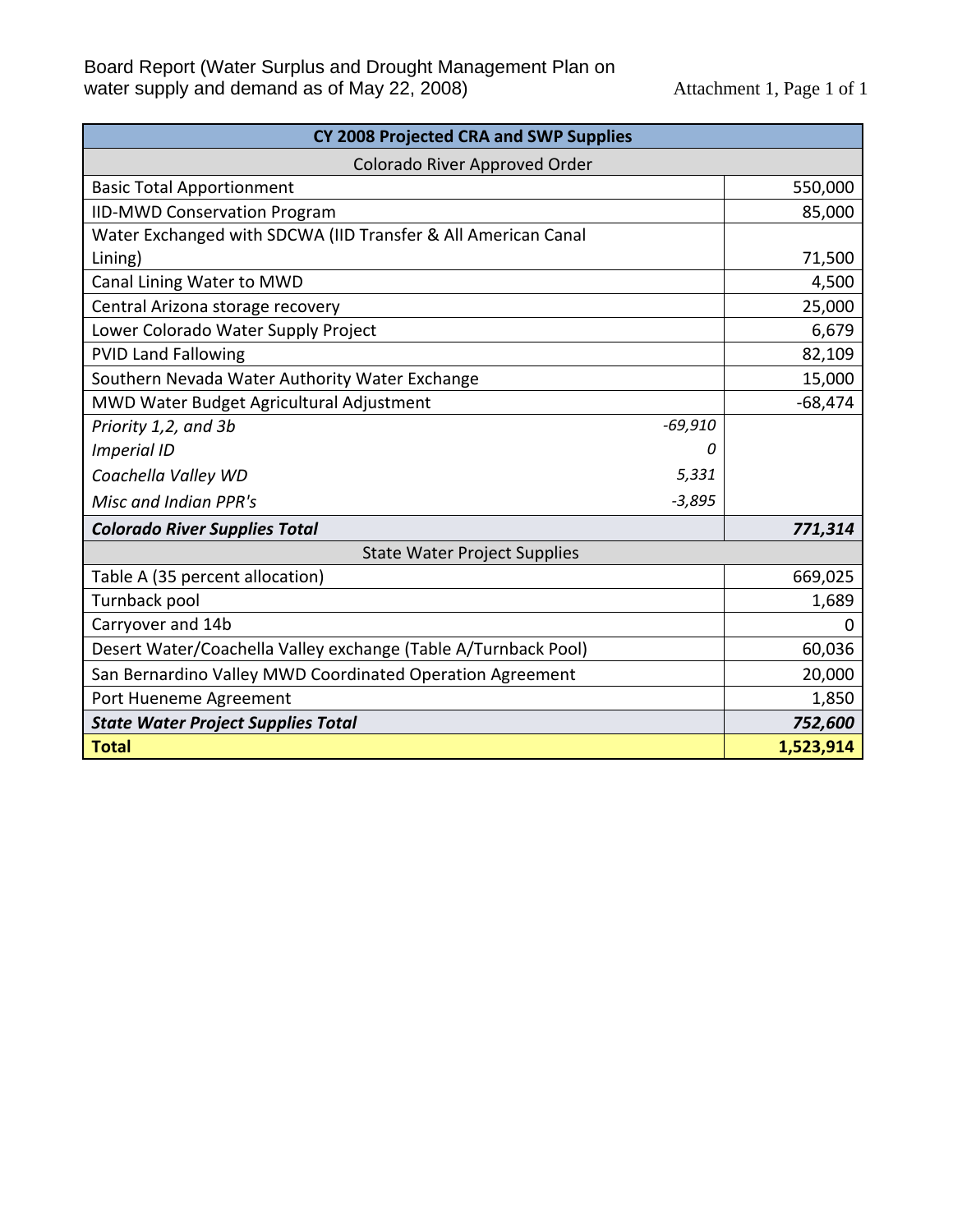| CY 2008 Projected CRA and SWP Supplies                         |           |  |  |
|----------------------------------------------------------------|-----------|--|--|
| Colorado River Approved Order                                  |           |  |  |
| <b>Basic Total Apportionment</b>                               | 550,000   |  |  |
| <b>IID-MWD Conservation Program</b>                            | 85,000    |  |  |
| Water Exchanged with SDCWA (IID Transfer & All American Canal  |           |  |  |
| Lining)                                                        | 71,500    |  |  |
| Canal Lining Water to MWD                                      | 4,500     |  |  |
| Central Arizona storage recovery                               | 25,000    |  |  |
| Lower Colorado Water Supply Project                            | 6,679     |  |  |
| <b>PVID Land Fallowing</b>                                     | 82,109    |  |  |
| Southern Nevada Water Authority Water Exchange                 | 15,000    |  |  |
| MWD Water Budget Agricultural Adjustment                       | $-68,474$ |  |  |
| $-69,910$<br>Priority 1,2, and 3b                              |           |  |  |
| <b>Imperial ID</b><br>0                                        |           |  |  |
| 5,331<br>Coachella Valley WD                                   |           |  |  |
| Misc and Indian PPR's<br>$-3,895$                              |           |  |  |
| <b>Colorado River Supplies Total</b>                           | 771,314   |  |  |
| <b>State Water Project Supplies</b>                            |           |  |  |
| Table A (35 percent allocation)                                | 669,025   |  |  |
| Turnback pool                                                  | 1,689     |  |  |
| Carryover and 14b                                              | 0         |  |  |
| Desert Water/Coachella Valley exchange (Table A/Turnback Pool) | 60,036    |  |  |
| San Bernardino Valley MWD Coordinated Operation Agreement      | 20,000    |  |  |
| Port Hueneme Agreement                                         | 1,850     |  |  |
| <b>State Water Project Supplies Total</b>                      | 752,600   |  |  |
| <b>Total</b>                                                   | 1,523,914 |  |  |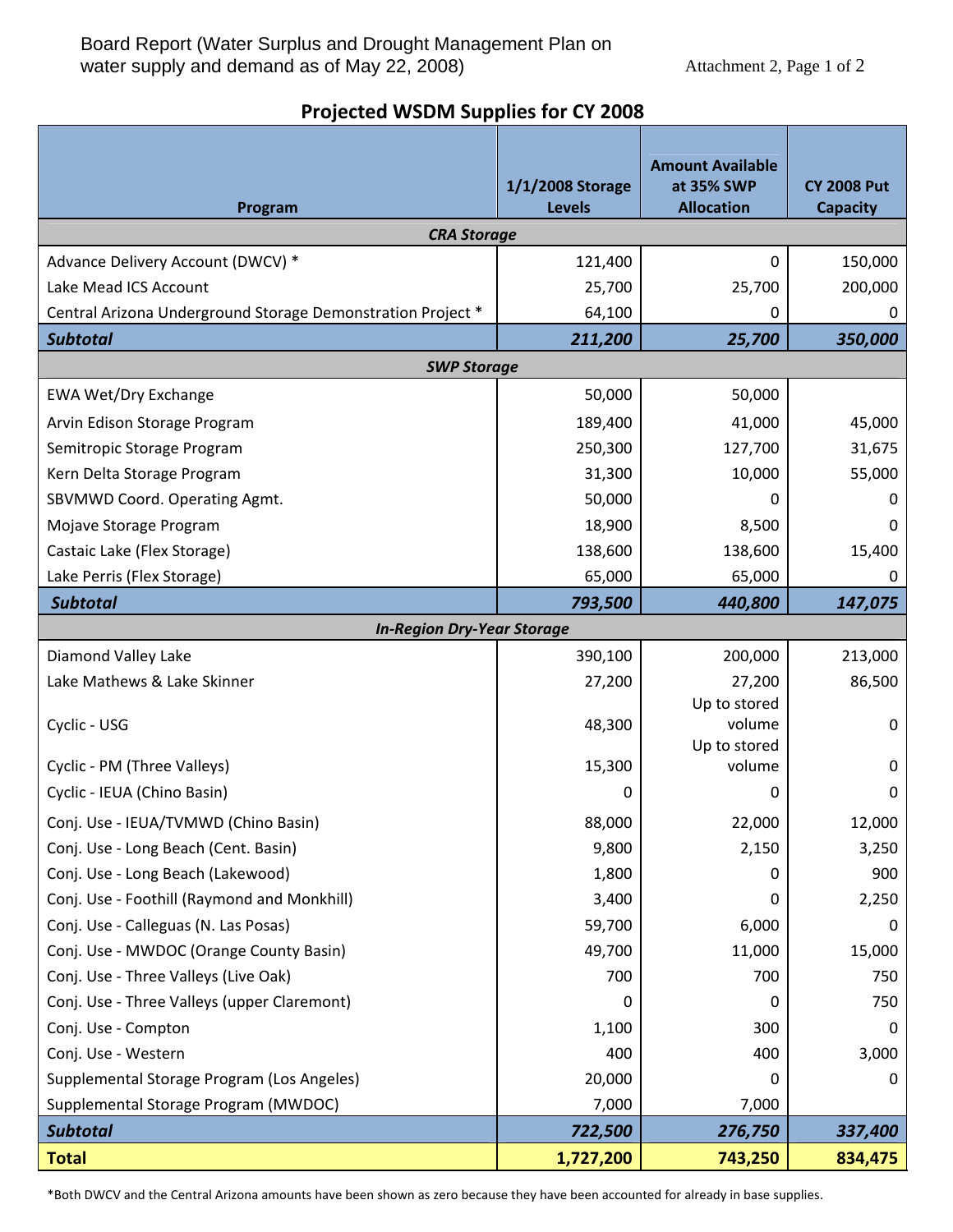# **Projected WSDM Supplies for CY 2008**

| Program                                                     | 1/1/2008 Storage<br><b>Levels</b> | <b>Amount Available</b><br>at 35% SWP<br><b>Allocation</b> | <b>CY 2008 Put</b><br><b>Capacity</b> |
|-------------------------------------------------------------|-----------------------------------|------------------------------------------------------------|---------------------------------------|
| <b>CRA Storage</b>                                          |                                   |                                                            |                                       |
| Advance Delivery Account (DWCV) *                           | 121,400                           | 0                                                          | 150,000                               |
| Lake Mead ICS Account                                       | 25,700                            | 25,700                                                     | 200,000                               |
| Central Arizona Underground Storage Demonstration Project * | 64,100                            | 0                                                          | 0                                     |
| <b>Subtotal</b>                                             | 211,200                           | 25,700                                                     | 350,000                               |
| <b>SWP Storage</b>                                          |                                   |                                                            |                                       |
| <b>EWA Wet/Dry Exchange</b>                                 | 50,000                            | 50,000                                                     |                                       |
| Arvin Edison Storage Program                                | 189,400                           | 41,000                                                     | 45,000                                |
| Semitropic Storage Program                                  | 250,300                           | 127,700                                                    | 31,675                                |
| Kern Delta Storage Program                                  | 31,300                            | 10,000                                                     | 55,000                                |
| SBVMWD Coord. Operating Agmt.                               | 50,000                            | 0                                                          | O                                     |
| Mojave Storage Program                                      | 18,900                            | 8,500                                                      | 0                                     |
| Castaic Lake (Flex Storage)                                 | 138,600                           | 138,600                                                    | 15,400                                |
| Lake Perris (Flex Storage)                                  | 65,000                            | 65,000                                                     | 0                                     |
| <b>Subtotal</b>                                             | 793,500                           | 440,800                                                    | 147,075                               |
| <b>In-Region Dry-Year Storage</b>                           |                                   |                                                            |                                       |
| Diamond Valley Lake                                         | 390,100                           | 200,000                                                    | 213,000                               |
| Lake Mathews & Lake Skinner                                 | 27,200                            | 27,200                                                     | 86,500                                |
|                                                             |                                   | Up to stored                                               |                                       |
| Cyclic - USG                                                | 48,300                            | volume<br>Up to stored                                     | 0                                     |
| Cyclic - PM (Three Valleys)                                 | 15,300                            | volume                                                     | 0                                     |
| Cyclic - IEUA (Chino Basin)                                 | 0                                 | 0                                                          | 0                                     |
| Conj. Use - IEUA/TVMWD (Chino Basin)                        | 88,000                            | 22,000                                                     | 12,000                                |
| Conj. Use - Long Beach (Cent. Basin)                        | 9,800                             | 2,150                                                      | 3,250                                 |
| Conj. Use - Long Beach (Lakewood)                           | 1,800                             | 0                                                          | 900                                   |
| Conj. Use - Foothill (Raymond and Monkhill)                 | 3,400                             | 0                                                          | 2,250                                 |
| Conj. Use - Calleguas (N. Las Posas)                        | 59,700                            | 6,000                                                      | 0                                     |
| Conj. Use - MWDOC (Orange County Basin)                     | 49,700                            | 11,000                                                     | 15,000                                |
| Conj. Use - Three Valleys (Live Oak)                        | 700                               | 700                                                        | 750                                   |
| Conj. Use - Three Valleys (upper Claremont)                 | 0                                 | 0                                                          | 750                                   |
| Conj. Use - Compton                                         | 1,100                             | 300                                                        | 0                                     |
| Conj. Use - Western                                         | 400                               | 400                                                        | 3,000                                 |
| Supplemental Storage Program (Los Angeles)                  | 20,000                            | 0                                                          | 0                                     |
| Supplemental Storage Program (MWDOC)                        | 7,000                             | 7,000                                                      |                                       |
| <b>Subtotal</b>                                             | 722,500                           | 276,750                                                    | 337,400                               |
| <b>Total</b>                                                | 1,727,200                         | 743,250                                                    | 834,475                               |

\*Both DWCV and the Central Arizona amounts have been shown as zero because they have been accounted for already in base supplies.